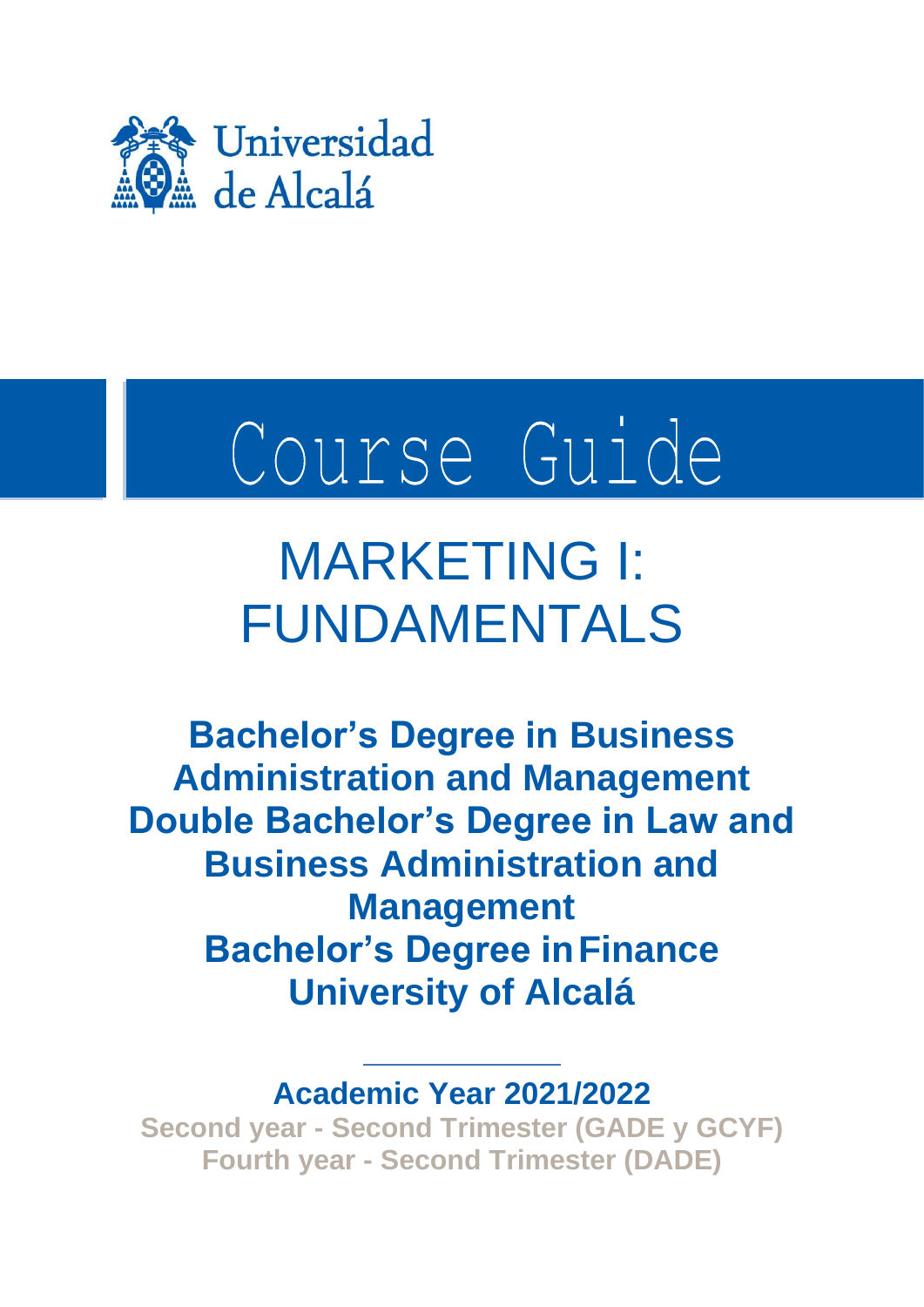

# Course Guide

# MARKETING I: FUNDAMENTALS

**Bachelor's Degree in Business Administration and Management Double Bachelor's Degree in Law and Business Administration and Management Bachelor's Degree inFinance University of Alcalá**

**Academic Year 2021/2022**

**Second year - Second Trimester (GADE y GCYF) Fourth year - Second Trimester (DADE)**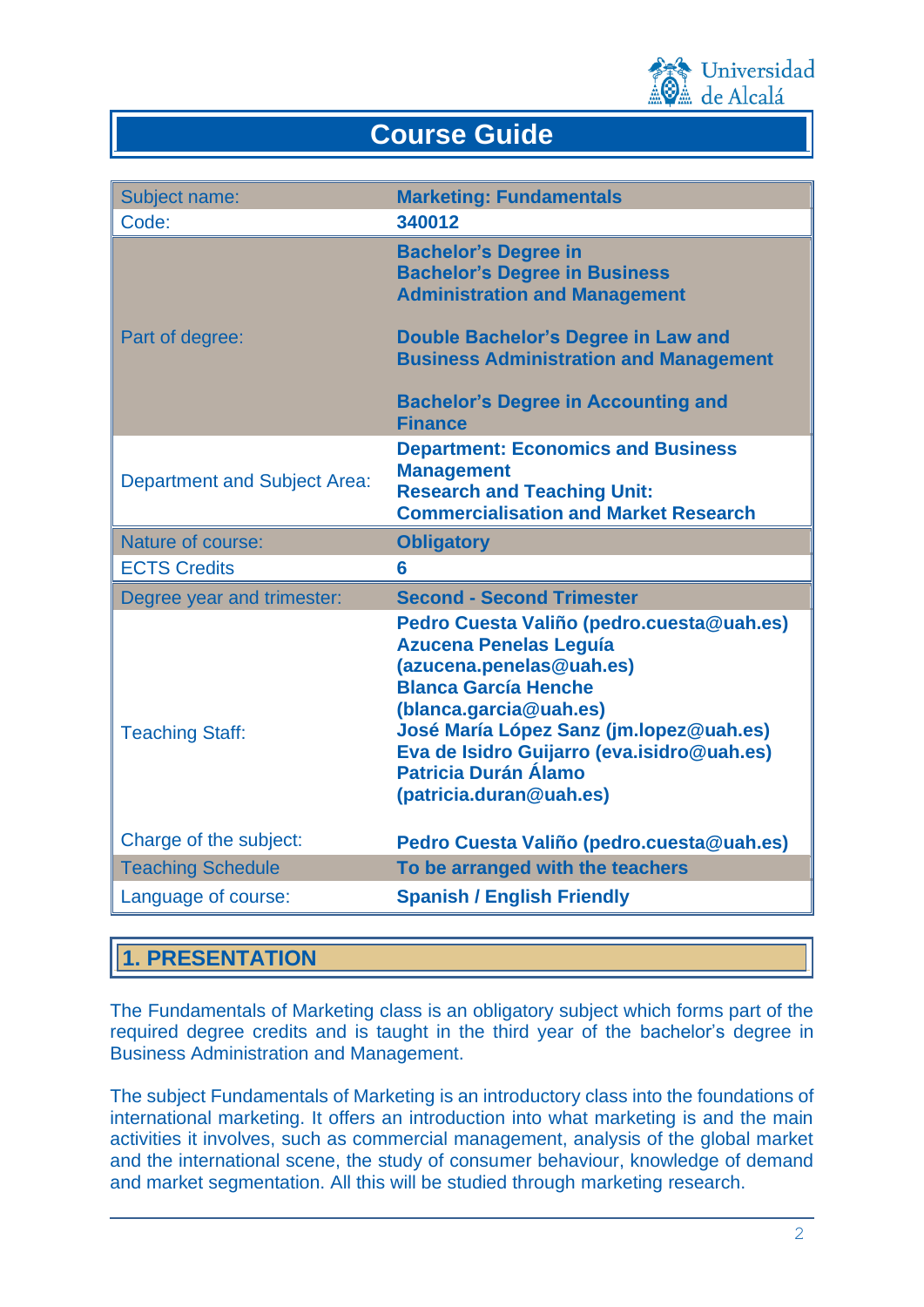

# **Course Guide**

| Subject name:                       | <b>Marketing: Fundamentals</b>                                                                                                                                                                                                                                                                                     |
|-------------------------------------|--------------------------------------------------------------------------------------------------------------------------------------------------------------------------------------------------------------------------------------------------------------------------------------------------------------------|
| Code:                               | 340012                                                                                                                                                                                                                                                                                                             |
|                                     | <b>Bachelor's Degree in</b><br><b>Bachelor's Degree in Business</b><br><b>Administration and Management</b>                                                                                                                                                                                                        |
| Part of degree:                     | Double Bachelor's Degree in Law and<br><b>Business Administration and Management</b>                                                                                                                                                                                                                               |
|                                     | <b>Bachelor's Degree in Accounting and</b><br><b>Finance</b>                                                                                                                                                                                                                                                       |
| <b>Department and Subject Area:</b> | <b>Department: Economics and Business</b><br><b>Management</b><br><b>Research and Teaching Unit:</b><br><b>Commercialisation and Market Research</b>                                                                                                                                                               |
| Nature of course:                   | <b>Obligatory</b>                                                                                                                                                                                                                                                                                                  |
| <b>ECTS Credits</b>                 | 6                                                                                                                                                                                                                                                                                                                  |
| Degree year and trimester:          | <b>Second - Second Trimester</b>                                                                                                                                                                                                                                                                                   |
| <b>Teaching Staff:</b>              | Pedro Cuesta Valiño (pedro.cuesta@uah.es)<br><b>Azucena Penelas Leguía</b><br>(azucena.penelas@uah.es)<br><b>Blanca García Henche</b><br>(blanca.garcia@uah.es)<br>José María López Sanz (jm.lopez@uah.es)<br>Eva de Isidro Guijarro (eva.isidro@uah.es)<br><b>Patricia Durán Álamo</b><br>(patricia.duran@uah.es) |
| Charge of the subject:              | Pedro Cuesta Valiño (pedro.cuesta@uah.es)                                                                                                                                                                                                                                                                          |
| <b>Teaching Schedule</b>            | To be arranged with the teachers                                                                                                                                                                                                                                                                                   |
| Language of course:                 | <b>Spanish / English Friendly</b>                                                                                                                                                                                                                                                                                  |

# **1. PRESENTATION**

The Fundamentals of Marketing class is an obligatory subject which forms part of the required degree credits and is taught in the third year of the bachelor's degree in Business Administration and Management.

The subject Fundamentals of Marketing is an introductory class into the foundations of international marketing. It offers an introduction into what marketing is and the main activities it involves, such as commercial management, analysis of the global market and the international scene, the study of consumer behaviour, knowledge of demand and market segmentation. All this will be studied through marketing research.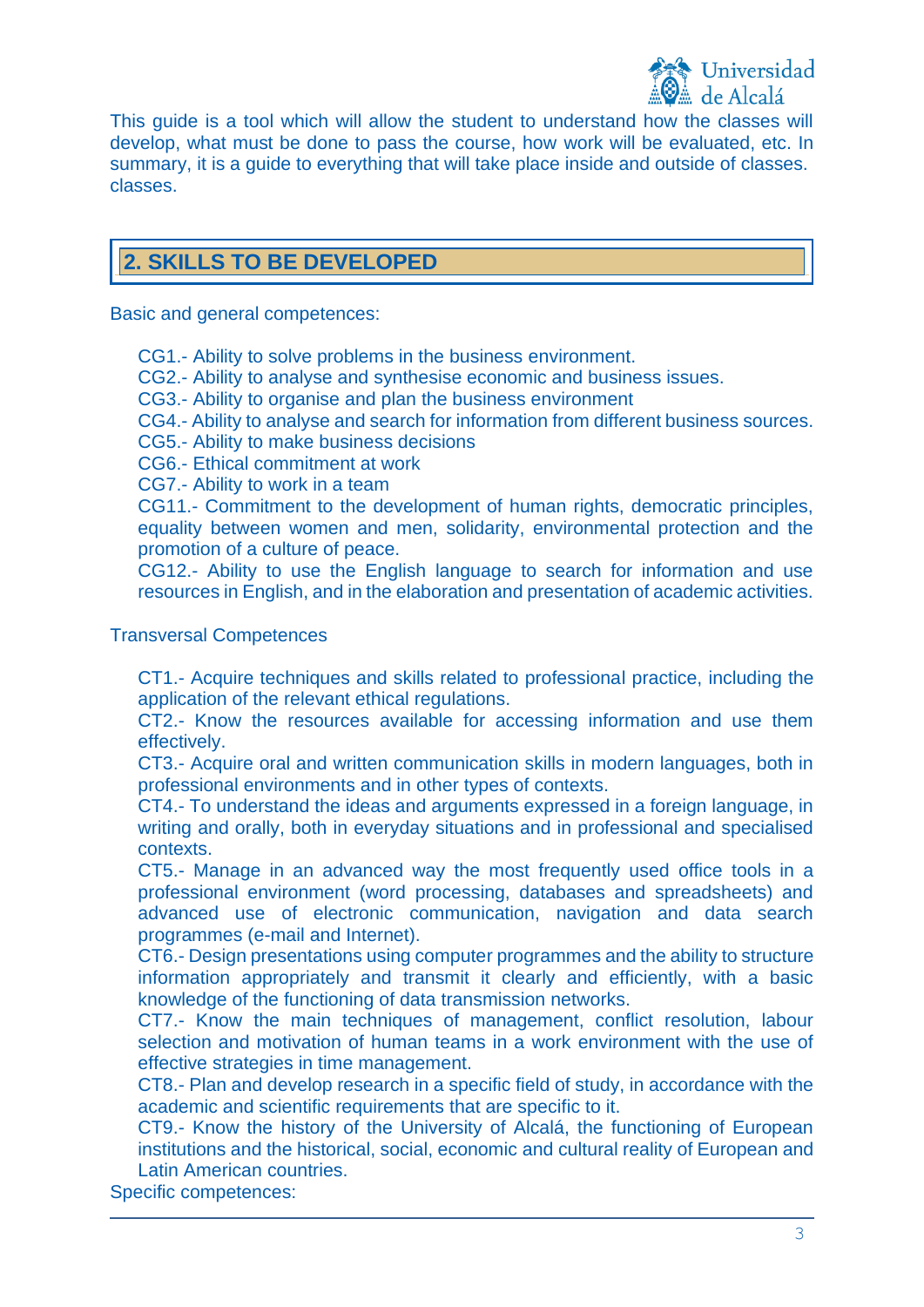

This guide is a tool which will allow the student to understand how the classes will develop, what must be done to pass the course, how work will be evaluated, etc. In summary, it is a guide to everything that will take place inside and outside of classes. classes.

# **2. SKILLS TO BE DEVELOPED**

Basic and general competences:

CG1.- Ability to solve problems in the business environment.

CG2.- Ability to analyse and synthesise economic and business issues.

CG3.- Ability to organise and plan the business environment

CG4.- Ability to analyse and search for information from different business sources.

CG5.- Ability to make business decisions

CG6.- Ethical commitment at work

CG7.- Ability to work in a team

CG11.- Commitment to the development of human rights, democratic principles, equality between women and men, solidarity, environmental protection and the promotion of a culture of peace.

CG12.- Ability to use the English language to search for information and use resources in English, and in the elaboration and presentation of academic activities.

#### Transversal Competences

CT1.- Acquire techniques and skills related to professional practice, including the application of the relevant ethical regulations.

CT2.- Know the resources available for accessing information and use them effectively.

CT3.- Acquire oral and written communication skills in modern languages, both in professional environments and in other types of contexts.

CT4.- To understand the ideas and arguments expressed in a foreign language, in writing and orally, both in everyday situations and in professional and specialised contexts.

CT5.- Manage in an advanced way the most frequently used office tools in a professional environment (word processing, databases and spreadsheets) and advanced use of electronic communication, navigation and data search programmes (e-mail and Internet).

CT6.- Design presentations using computer programmes and the ability to structure information appropriately and transmit it clearly and efficiently, with a basic knowledge of the functioning of data transmission networks.

CT7.- Know the main techniques of management, conflict resolution, labour selection and motivation of human teams in a work environment with the use of effective strategies in time management.

CT8.- Plan and develop research in a specific field of study, in accordance with the academic and scientific requirements that are specific to it.

CT9.- Know the history of the University of Alcalá, the functioning of European institutions and the historical, social, economic and cultural reality of European and Latin American countries.

Specific competences: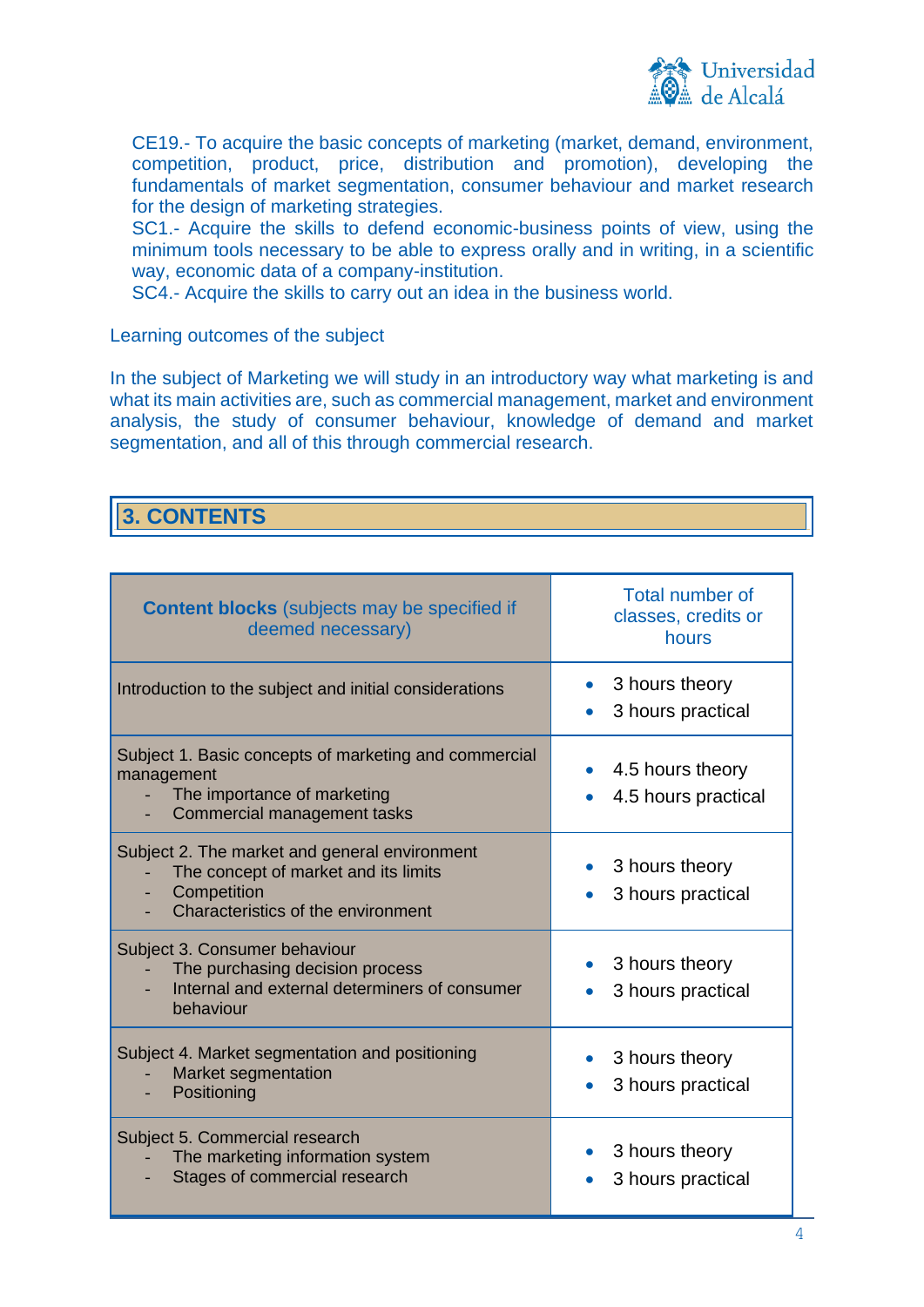

CE19.- To acquire the basic concepts of marketing (market, demand, environment, competition, product, price, distribution and promotion), developing the fundamentals of market segmentation, consumer behaviour and market research for the design of marketing strategies.

SC1.- Acquire the skills to defend economic-business points of view, using the minimum tools necessary to be able to express orally and in writing, in a scientific way, economic data of a company-institution.

SC4.- Acquire the skills to carry out an idea in the business world.

Learning outcomes of the subject

In the subject of Marketing we will study in an introductory way what marketing is and what its main activities are, such as commercial management, market and environment analysis, the study of consumer behaviour, knowledge of demand and market segmentation, and all of this through commercial research.

# **3. CONTENTS**

| <b>Content blocks</b> (subjects may be specified if<br>deemed necessary)                                                                   | Total number of<br>classes, credits or<br>hours  |
|--------------------------------------------------------------------------------------------------------------------------------------------|--------------------------------------------------|
| Introduction to the subject and initial considerations                                                                                     | 3 hours theory<br>$\bullet$<br>3 hours practical |
| Subject 1. Basic concepts of marketing and commercial<br>management<br>The importance of marketing<br>Commercial management tasks          | 4.5 hours theory<br>4.5 hours practical          |
| Subject 2. The market and general environment<br>The concept of market and its limits<br>Competition<br>Characteristics of the environment | 3 hours theory<br>3 hours practical              |
| Subject 3. Consumer behaviour<br>The purchasing decision process<br>Internal and external determiners of consumer<br>behaviour             | 3 hours theory<br>3 hours practical              |
| Subject 4. Market segmentation and positioning<br><b>Market segmentation</b><br>Positioning                                                | 3 hours theory<br>3 hours practical              |
| Subject 5. Commercial research<br>The marketing information system<br>Stages of commercial research                                        | 3 hours theory<br>3 hours practical              |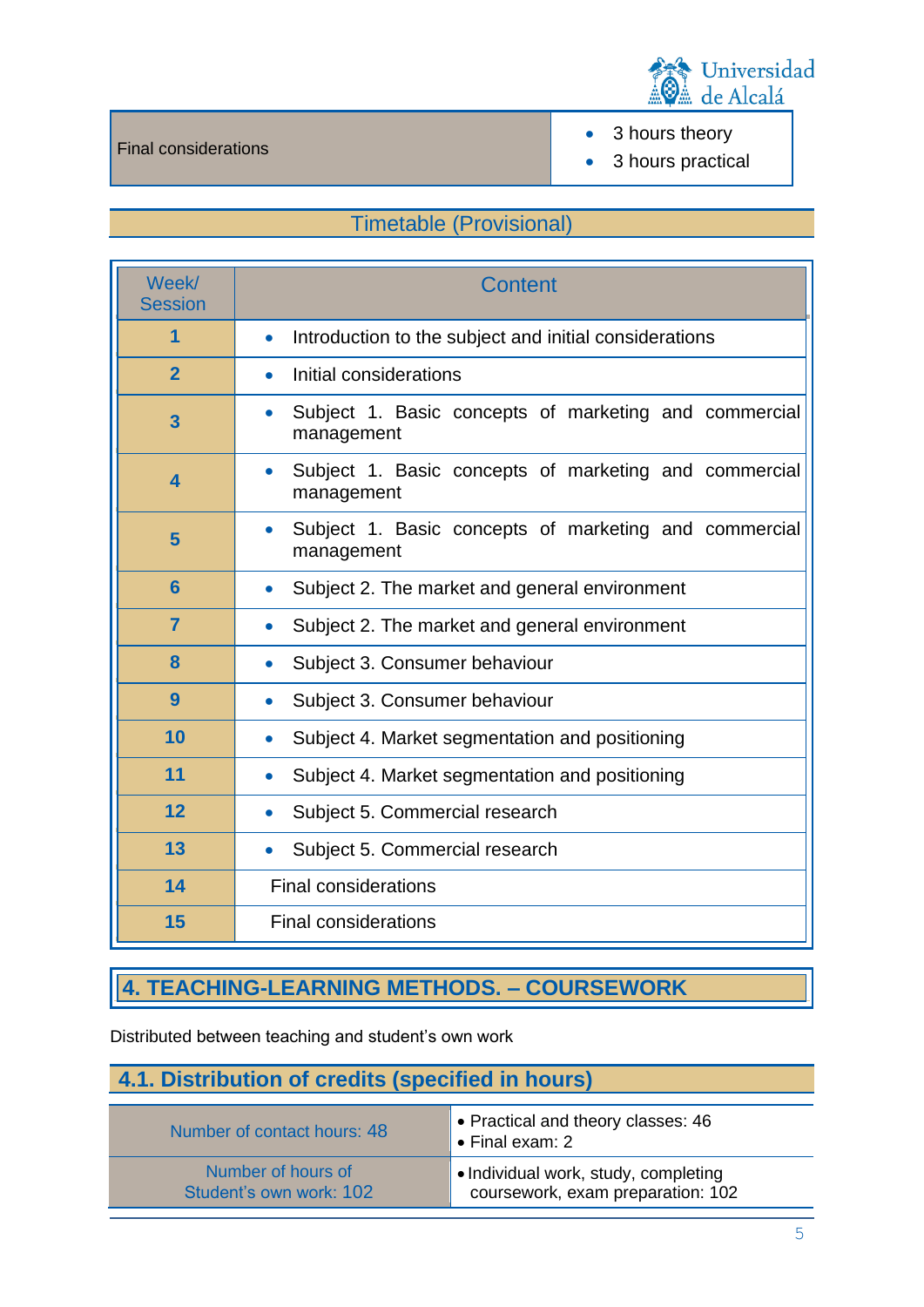

• 3 hours theory

• 3 hours practical

# Timetable (Provisional)

| Week/<br><b>Session</b> | Content                                                                          |  |
|-------------------------|----------------------------------------------------------------------------------|--|
| 1                       | Introduction to the subject and initial considerations<br>$\bullet$              |  |
| $\overline{2}$          | Initial considerations<br>$\bullet$                                              |  |
| 3                       | Subject 1. Basic concepts of marketing and commercial<br>$\bullet$<br>management |  |
| $\overline{\mathbf{4}}$ | Subject 1. Basic concepts of marketing and commercial<br>$\bullet$<br>management |  |
| 5                       | Subject 1. Basic concepts of marketing and commercial<br>$\bullet$<br>management |  |
| 6                       | Subject 2. The market and general environment<br>$\bullet$                       |  |
| $\overline{7}$          | Subject 2. The market and general environment<br>$\bullet$                       |  |
| 8                       | Subject 3. Consumer behaviour<br>$\bullet$                                       |  |
| 9                       | Subject 3. Consumer behaviour<br>$\bullet$                                       |  |
| 10                      | Subject 4. Market segmentation and positioning<br>$\bullet$                      |  |
| 11                      | Subject 4. Market segmentation and positioning<br>$\bullet$                      |  |
| 12                      | Subject 5. Commercial research<br>$\bullet$                                      |  |
| 13                      | Subject 5. Commercial research<br>$\bullet$                                      |  |
| 14                      | <b>Final considerations</b>                                                      |  |
| 15                      | <b>Final considerations</b>                                                      |  |

# **4. TEACHING-LEARNING METHODS. – COURSEWORK**

Distributed between teaching and student's own work

# **4.1. Distribution of credits (specified in hours)**

| Number of contact hours: 48 | $\bullet$ Practical and theory classes: 46<br>$\blacktriangleright$ Final exam: 2 |
|-----------------------------|-----------------------------------------------------------------------------------|
| Number of hours of          | $\bullet$ Individual work, study, completing                                      |
| Student's own work: 102     | coursework, exam preparation: 102                                                 |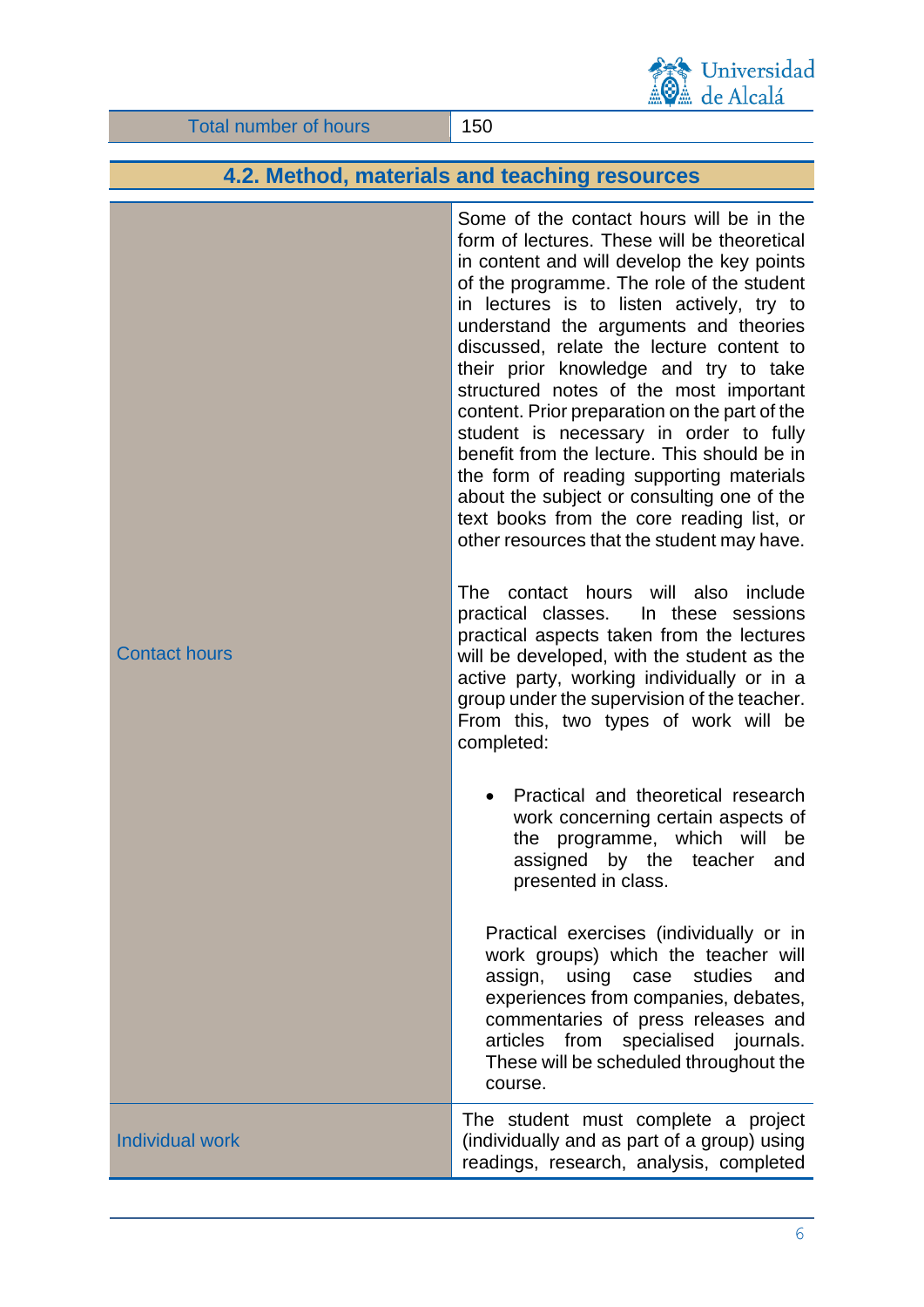

### **4.2. Method, materials and teaching resources**

Contact hours Some of the contact hours will be in the form of lectures. These will be theoretical in content and will develop the key points of the programme. The role of the student in lectures is to listen actively, try to understand the arguments and theories discussed, relate the lecture content to their prior knowledge and try to take structured notes of the most important content. Prior preparation on the part of the student is necessary in order to fully benefit from the lecture. This should be in the form of reading supporting materials about the subject or consulting one of the text books from the core reading list, or other resources that the student may have. The contact hours will also include practical classes. In these sessions practical aspects taken from the lectures will be developed, with the student as the active party, working individually or in a group under the supervision of the teacher. From this, two types of work will be completed: • Practical and theoretical research work concerning certain aspects of the programme, which will be assigned by the teacher and presented in class. Practical exercises (individually or in work groups) which the teacher will assign, using case studies and experiences from companies, debates, commentaries of press releases and articles from specialised journals. These will be scheduled throughout the course. Individual work The student must complete a project (individually and as part of a group) using

readings, research, analysis, completed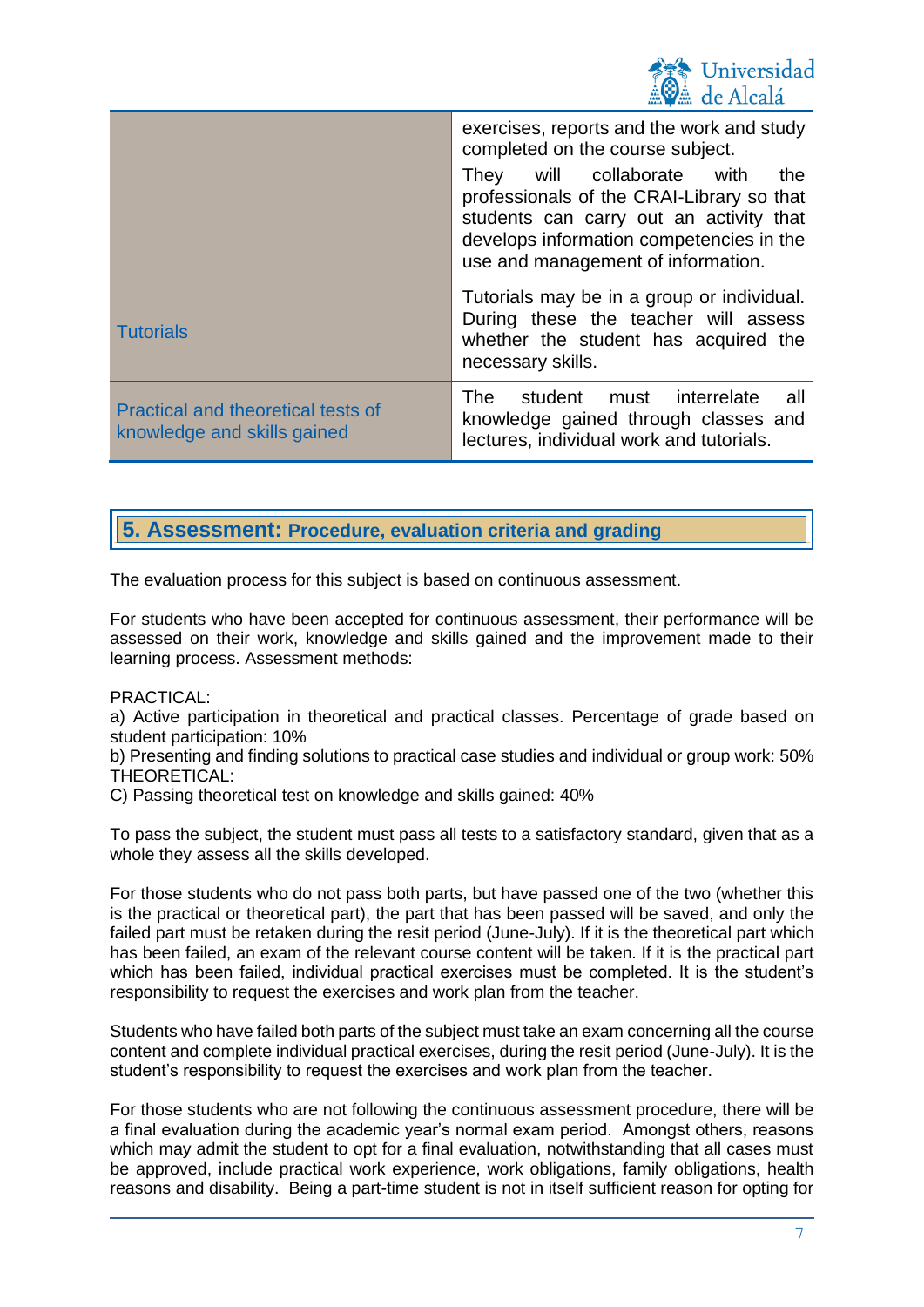

|                                                                          | exercises, reports and the work and study<br>completed on the course subject.<br>They will collaborate with<br>the<br>professionals of the CRAI-Library so that<br>students can carry out an activity that<br>develops information competencies in the<br>use and management of information. |
|--------------------------------------------------------------------------|----------------------------------------------------------------------------------------------------------------------------------------------------------------------------------------------------------------------------------------------------------------------------------------------|
| <b>Tutorials</b>                                                         | Tutorials may be in a group or individual.<br>During these the teacher will assess<br>whether the student has acquired the<br>necessary skills.                                                                                                                                              |
| <b>Practical and theoretical tests of</b><br>knowledge and skills gained | The student must interrelate<br>all -<br>knowledge gained through classes and<br>lectures, individual work and tutorials.                                                                                                                                                                    |

## **5. Assessment: Procedure, evaluation criteria and grading**

The evaluation process for this subject is based on continuous assessment.

For students who have been accepted for continuous assessment, their performance will be assessed on their work, knowledge and skills gained and the improvement made to their learning process. Assessment methods:

#### PRACTICAL:

a) Active participation in theoretical and practical classes. Percentage of grade based on student participation: 10%

b) Presenting and finding solutions to practical case studies and individual or group work: 50% THEORETICAL:

C) Passing theoretical test on knowledge and skills gained: 40%

To pass the subject, the student must pass all tests to a satisfactory standard, given that as a whole they assess all the skills developed.

For those students who do not pass both parts, but have passed one of the two (whether this is the practical or theoretical part), the part that has been passed will be saved, and only the failed part must be retaken during the resit period (June-July). If it is the theoretical part which has been failed, an exam of the relevant course content will be taken. If it is the practical part which has been failed, individual practical exercises must be completed. It is the student's responsibility to request the exercises and work plan from the teacher.

Students who have failed both parts of the subject must take an exam concerning all the course content and complete individual practical exercises, during the resit period (June-July). It is the student's responsibility to request the exercises and work plan from the teacher.

For those students who are not following the continuous assessment procedure, there will be a final evaluation during the academic year's normal exam period. Amongst others, reasons which may admit the student to opt for a final evaluation, notwithstanding that all cases must be approved, include practical work experience, work obligations, family obligations, health reasons and disability. Being a part-time student is not in itself sufficient reason for opting for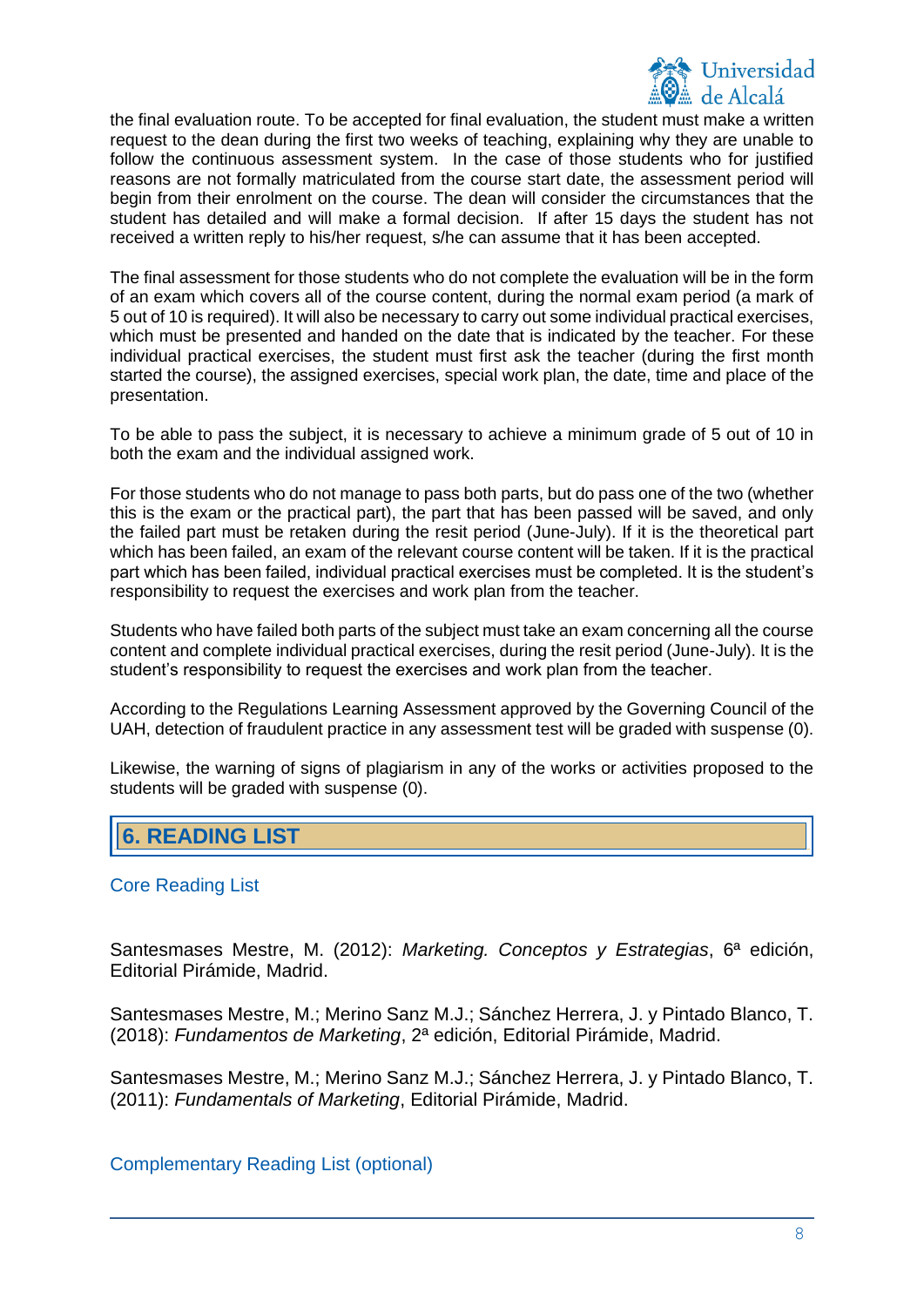

the final evaluation route. To be accepted for final evaluation, the student must make a written request to the dean during the first two weeks of teaching, explaining why they are unable to follow the continuous assessment system. In the case of those students who for justified reasons are not formally matriculated from the course start date, the assessment period will begin from their enrolment on the course. The dean will consider the circumstances that the student has detailed and will make a formal decision. If after 15 days the student has not received a written reply to his/her request, s/he can assume that it has been accepted.

The final assessment for those students who do not complete the evaluation will be in the form of an exam which covers all of the course content, during the normal exam period (a mark of 5 out of 10 is required). It will also be necessary to carry out some individual practical exercises, which must be presented and handed on the date that is indicated by the teacher. For these individual practical exercises, the student must first ask the teacher (during the first month started the course), the assigned exercises, special work plan, the date, time and place of the presentation.

To be able to pass the subject, it is necessary to achieve a minimum grade of 5 out of 10 in both the exam and the individual assigned work.

For those students who do not manage to pass both parts, but do pass one of the two (whether this is the exam or the practical part), the part that has been passed will be saved, and only the failed part must be retaken during the resit period (June-July). If it is the theoretical part which has been failed, an exam of the relevant course content will be taken. If it is the practical part which has been failed, individual practical exercises must be completed. It is the student's responsibility to request the exercises and work plan from the teacher.

Students who have failed both parts of the subject must take an exam concerning all the course content and complete individual practical exercises, during the resit period (June-July). It is the student's responsibility to request the exercises and work plan from the teacher.

According to the Regulations Learning Assessment approved by the Governing Council of the UAH, detection of fraudulent practice in any assessment test will be graded with suspense (0).

Likewise, the warning of signs of plagiarism in any of the works or activities proposed to the students will be graded with suspense (0).

# **6. READING LIST**

#### Core Reading List

Santesmases Mestre, M. (2012): *Marketing. Conceptos y Estrategias*, 6ª edición, Editorial Pirámide, Madrid.

Santesmases Mestre, M.; Merino Sanz M.J.; Sánchez Herrera, J. y Pintado Blanco, T. (2018): *Fundamentos de Marketing*, 2ª edición, Editorial Pirámide, Madrid.

Santesmases Mestre, M.; Merino Sanz M.J.; Sánchez Herrera, J. y Pintado Blanco, T. (2011): *Fundamentals of Marketing*, Editorial Pirámide, Madrid.

Complementary Reading List (optional)